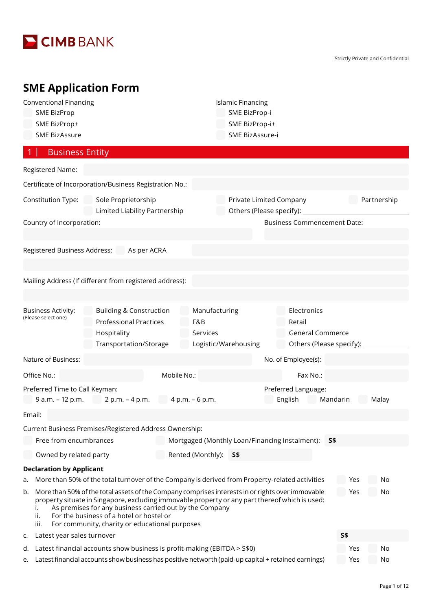

Strictly Private and Confidential

# **SME Application Form**

| <b>Conventional Financing</b><br><b>SME BizProp</b>  |                                                                                                                                                                                                                                                                                                                                                             |                                  | <b>Islamic Financing</b><br>SME BizProp-i      |                                                                              |            |             |
|------------------------------------------------------|-------------------------------------------------------------------------------------------------------------------------------------------------------------------------------------------------------------------------------------------------------------------------------------------------------------------------------------------------------------|----------------------------------|------------------------------------------------|------------------------------------------------------------------------------|------------|-------------|
| SME BizProp+                                         |                                                                                                                                                                                                                                                                                                                                                             |                                  | SME BizProp-i+                                 |                                                                              |            |             |
| <b>SME BizAssure</b>                                 |                                                                                                                                                                                                                                                                                                                                                             |                                  | SME BizAssure-i                                |                                                                              |            |             |
| <b>Business Entity</b>                               |                                                                                                                                                                                                                                                                                                                                                             |                                  |                                                |                                                                              |            |             |
| Registered Name:                                     |                                                                                                                                                                                                                                                                                                                                                             |                                  |                                                |                                                                              |            |             |
|                                                      | Certificate of Incorporation/Business Registration No.:                                                                                                                                                                                                                                                                                                     |                                  |                                                |                                                                              |            |             |
| Constitution Type:                                   | Sole Proprietorship<br>Limited Liability Partnership                                                                                                                                                                                                                                                                                                        |                                  | Private Limited Company                        | Others (Please specify): _____                                               |            | Partnership |
| Country of Incorporation:                            |                                                                                                                                                                                                                                                                                                                                                             |                                  |                                                | <b>Business Commencement Date:</b>                                           |            |             |
| Registered Business Address:                         | As per ACRA                                                                                                                                                                                                                                                                                                                                                 |                                  |                                                |                                                                              |            |             |
|                                                      | Mailing Address (If different from registered address):                                                                                                                                                                                                                                                                                                     |                                  |                                                |                                                                              |            |             |
| <b>Business Activity:</b><br>(Please select one)     | <b>Building &amp; Construction</b><br><b>Professional Practices</b><br>Hospitality<br>Transportation/Storage                                                                                                                                                                                                                                                | Manufacturing<br>F&B<br>Services | Logistic/Warehousing                           | Electronics<br>Retail<br><b>General Commerce</b><br>Others (Please specify): |            |             |
| Nature of Business:                                  |                                                                                                                                                                                                                                                                                                                                                             |                                  |                                                | No. of Employee(s):                                                          |            |             |
| Office No.:                                          |                                                                                                                                                                                                                                                                                                                                                             | Mobile No.:                      |                                                | Fax No.:                                                                     |            |             |
| Preferred Time to Call Keyman:<br>$9 a.m. - 12 p.m.$ | 2 p.m. – 4 p.m.                                                                                                                                                                                                                                                                                                                                             | $4 p.m. - 6 p.m.$                |                                                | Preferred Language:<br>English                                               | Mandarin   | Malay       |
| Email:                                               |                                                                                                                                                                                                                                                                                                                                                             |                                  |                                                |                                                                              |            |             |
|                                                      | Current Business Premises/Registered Address Ownership:                                                                                                                                                                                                                                                                                                     |                                  |                                                |                                                                              |            |             |
| Free from encumbrances                               |                                                                                                                                                                                                                                                                                                                                                             |                                  | Mortgaged (Monthly Loan/Financing Instalment): |                                                                              | S\$        |             |
| Owned by related party                               |                                                                                                                                                                                                                                                                                                                                                             | Rented (Monthly):                | <b>S\$</b>                                     |                                                                              |            |             |
| <b>Declaration by Applicant</b><br>a.                | More than 50% of the total turnover of the Company is derived from Property-related activities                                                                                                                                                                                                                                                              |                                  |                                                |                                                                              | Yes        | No          |
| b.<br>ii.<br>iii.                                    | More than 50% of the total assets of the Company comprises interests in or rights over immovable<br>property situate in Singapore, excluding immovable property or any part thereof which is used:<br>As premises for any business carried out by the Company<br>For the business of a hotel or hostel or<br>For community, charity or educational purposes |                                  |                                                |                                                                              | Yes        | No          |
| Latest year sales turnover<br>c.                     |                                                                                                                                                                                                                                                                                                                                                             |                                  |                                                |                                                                              | <b>S\$</b> |             |
| d.<br>e.                                             | Latest financial accounts show business is profit-making (EBITDA > S\$0)<br>Latest financial accounts show business has positive networth (paid-up capital + retained earnings)                                                                                                                                                                             |                                  |                                                |                                                                              | Yes<br>Yes | No<br>No    |
|                                                      |                                                                                                                                                                                                                                                                                                                                                             |                                  |                                                |                                                                              |            |             |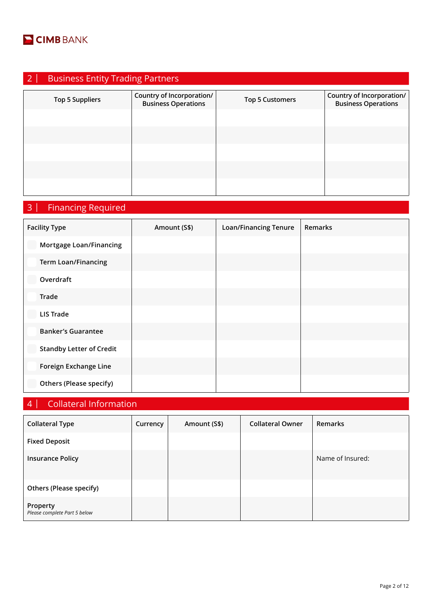

| $\mathbf{\Omega}$ | <b>Business Entity Trading Partners</b> |                                                         |                        |                                                         |  |  |  |
|-------------------|-----------------------------------------|---------------------------------------------------------|------------------------|---------------------------------------------------------|--|--|--|
|                   | <b>Top 5 Suppliers</b>                  | Country of Incorporation/<br><b>Business Operations</b> | <b>Top 5 Customers</b> | Country of Incorporation/<br><b>Business Operations</b> |  |  |  |
|                   |                                         |                                                         |                        |                                                         |  |  |  |
|                   |                                         |                                                         |                        |                                                         |  |  |  |
|                   |                                         |                                                         |                        |                                                         |  |  |  |
|                   |                                         |                                                         |                        |                                                         |  |  |  |
|                   |                                         |                                                         |                        |                                                         |  |  |  |

# 3 | Financing Required

| <b>Facility Type</b>            | Amount (S\$) | <b>Loan/Financing Tenure</b> | Remarks |
|---------------------------------|--------------|------------------------------|---------|
| Mortgage Loan/Financing         |              |                              |         |
| <b>Term Loan/Financing</b>      |              |                              |         |
| Overdraft                       |              |                              |         |
| Trade                           |              |                              |         |
| <b>LIS Trade</b>                |              |                              |         |
| <b>Banker's Guarantee</b>       |              |                              |         |
| <b>Standby Letter of Credit</b> |              |                              |         |
| Foreign Exchange Line           |              |                              |         |
| <b>Others (Please specify)</b>  |              |                              |         |

## 4 | Collateral Information

| <b>Collateral Type</b>                   | Currency | Amount (S\$) | <b>Collateral Owner</b> | <b>Remarks</b>   |
|------------------------------------------|----------|--------------|-------------------------|------------------|
| <b>Fixed Deposit</b>                     |          |              |                         |                  |
| <b>Insurance Policy</b>                  |          |              |                         | Name of Insured: |
| Others (Please specify)                  |          |              |                         |                  |
| Property<br>Please complete Part 5 below |          |              |                         |                  |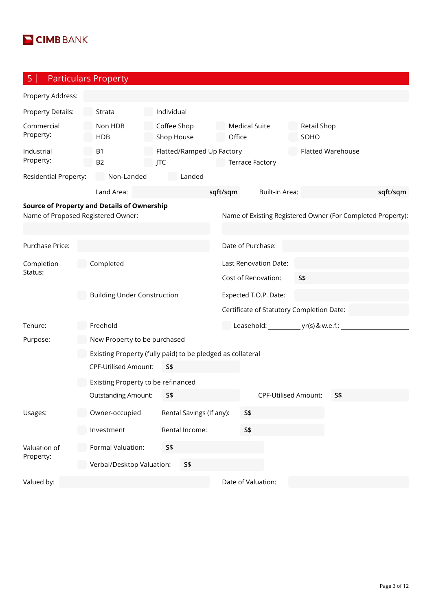

5 | Particulars Property

| Property Address:                  |                                                            |                           |                           |                       |                                |                                           |                          |            |                                                             |
|------------------------------------|------------------------------------------------------------|---------------------------|---------------------------|-----------------------|--------------------------------|-------------------------------------------|--------------------------|------------|-------------------------------------------------------------|
| Property Details:                  | Strata                                                     | Individual                |                           |                       |                                |                                           |                          |            |                                                             |
| Commercial<br>Property:            | Non HDB<br><b>HDB</b>                                      | Coffee Shop<br>Shop House |                           |                       | <b>Medical Suite</b><br>Office |                                           | Retail Shop<br>SOHO      |            |                                                             |
| Industrial<br>Property:            | <b>B1</b><br><b>B2</b>                                     | <b>JTC</b>                | Flatted/Ramped Up Factory |                       | <b>Terrace Factory</b>         |                                           | <b>Flatted Warehouse</b> |            |                                                             |
| Residential Property:              | Non-Landed                                                 |                           | Landed                    |                       |                                |                                           |                          |            |                                                             |
|                                    | Land Area:                                                 |                           |                           | sqft/sqm              |                                | Built-in Area:                            |                          |            | sqft/sqm                                                    |
| Name of Proposed Registered Owner: | <b>Source of Property and Details of Ownership</b>         |                           |                           |                       |                                |                                           |                          |            | Name of Existing Registered Owner (For Completed Property): |
| Purchase Price:                    |                                                            |                           |                           |                       | Date of Purchase:              |                                           |                          |            |                                                             |
| Completion                         | Completed                                                  |                           |                           |                       |                                | Last Renovation Date:                     |                          |            |                                                             |
| Status:                            |                                                            |                           |                           |                       |                                | Cost of Renovation:                       | <b>S\$</b>               |            |                                                             |
|                                    | <b>Building Under Construction</b>                         |                           |                           | Expected T.O.P. Date: |                                |                                           |                          |            |                                                             |
|                                    |                                                            |                           |                           |                       |                                | Certificate of Statutory Completion Date: |                          |            |                                                             |
| Tenure:                            | Freehold                                                   |                           |                           |                       |                                |                                           |                          |            |                                                             |
| Purpose:                           | New Property to be purchased                               |                           |                           |                       |                                |                                           |                          |            |                                                             |
|                                    | Existing Property (fully paid) to be pledged as collateral |                           |                           |                       |                                |                                           |                          |            |                                                             |
|                                    | <b>CPF-Utilised Amount:</b>                                | <b>S\$</b>                |                           |                       |                                |                                           |                          |            |                                                             |
|                                    | Existing Property to be refinanced                         |                           |                           |                       |                                |                                           |                          |            |                                                             |
|                                    | <b>Outstanding Amount:</b>                                 | S\$                       |                           |                       |                                | <b>CPF-Utilised Amount:</b>               |                          | <b>S\$</b> |                                                             |
| Usages:                            | Owner-occupied                                             |                           | Rental Savings (If any):  |                       | S\$                            |                                           |                          |            |                                                             |
|                                    | Investment                                                 |                           | Rental Income:            |                       | <b>S\$</b>                     |                                           |                          |            |                                                             |
| Valuation of                       | Formal Valuation:                                          | S\$                       |                           |                       |                                |                                           |                          |            |                                                             |
| Property:                          | Verbal/Desktop Valuation:                                  |                           | <b>S\$</b>                |                       |                                |                                           |                          |            |                                                             |
| Valued by:                         |                                                            |                           |                           |                       | Date of Valuation:             |                                           |                          |            |                                                             |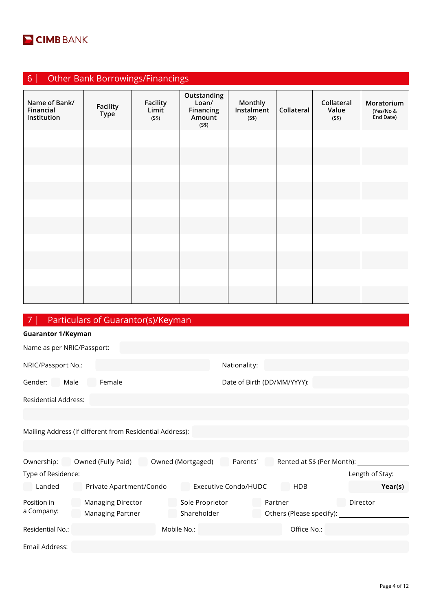

| <b>Other Bank Borrowings/Financings</b><br>6 <sup>1</sup> |                         |                                   |                                                      |                                |            |                              |                                      |
|-----------------------------------------------------------|-------------------------|-----------------------------------|------------------------------------------------------|--------------------------------|------------|------------------------------|--------------------------------------|
| Name of Bank/<br>Financial<br>Institution                 | Facility<br><b>Type</b> | <b>Facility</b><br>Limit<br>(S\$) | Outstanding<br>Loan/<br>Financing<br>Amount<br>(S\$) | Monthly<br>Instalment<br>(S\$) | Collateral | Collateral<br>Value<br>(S\$) | Moratorium<br>(Yes/No &<br>End Date) |
|                                                           |                         |                                   |                                                      |                                |            |                              |                                      |
|                                                           |                         |                                   |                                                      |                                |            |                              |                                      |
|                                                           |                         |                                   |                                                      |                                |            |                              |                                      |
|                                                           |                         |                                   |                                                      |                                |            |                              |                                      |
|                                                           |                         |                                   |                                                      |                                |            |                              |                                      |
|                                                           |                         |                                   |                                                      |                                |            |                              |                                      |
|                                                           |                         |                                   |                                                      |                                |            |                              |                                      |
|                                                           |                         |                                   |                                                      |                                |            |                              |                                      |
|                                                           |                         |                                   |                                                      |                                |            |                              |                                      |
|                                                           |                         |                                   |                                                      |                                |            |                              |                                      |

# 7 | Particulars of Guarantor(s)/Keyman

| <b>Guarantor 1/Keyman</b>   |                                                          |                                |                             |         |                            |                 |         |
|-----------------------------|----------------------------------------------------------|--------------------------------|-----------------------------|---------|----------------------------|-----------------|---------|
| Name as per NRIC/Passport:  |                                                          |                                |                             |         |                            |                 |         |
| NRIC/Passport No.:          |                                                          |                                | Nationality:                |         |                            |                 |         |
| Gender:<br>Male             | Female                                                   |                                | Date of Birth (DD/MM/YYYY): |         |                            |                 |         |
| <b>Residential Address:</b> |                                                          |                                |                             |         |                            |                 |         |
|                             |                                                          |                                |                             |         |                            |                 |         |
|                             | Mailing Address (If different from Residential Address): |                                |                             |         |                            |                 |         |
|                             |                                                          |                                |                             |         |                            |                 |         |
| Ownership:                  | Owned (Fully Paid)                                       | Owned (Mortgaged)              | Parents'                    |         | Rented at S\$ (Per Month): |                 |         |
| Type of Residence:          |                                                          |                                |                             |         |                            | Length of Stay: |         |
| Landed                      | Private Apartment/Condo                                  |                                | <b>Executive Condo/HUDC</b> |         | <b>HDB</b>                 |                 | Year(s) |
| Position in<br>a Company:   | <b>Managing Director</b><br>Managing Partner             | Sole Proprietor<br>Shareholder |                             | Partner | Others (Please specify):   | Director        |         |
| Residential No.:            |                                                          | Mobile No.:                    |                             |         | Office No.:                |                 |         |
| Email Address:              |                                                          |                                |                             |         |                            |                 |         |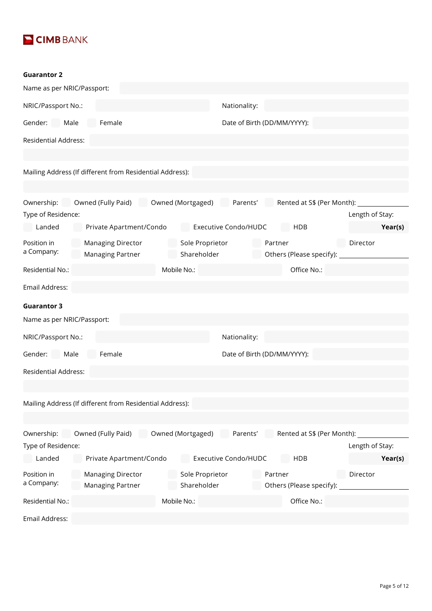

#### **Guarantor 2**

| Name as per NRIC/Passport:  |                                                          |                                |                                                                          |                 |
|-----------------------------|----------------------------------------------------------|--------------------------------|--------------------------------------------------------------------------|-----------------|
| NRIC/Passport No.:          |                                                          |                                | Nationality:                                                             |                 |
| Gender: Male                | Female                                                   |                                | Date of Birth (DD/MM/YYYY):                                              |                 |
| <b>Residential Address:</b> |                                                          |                                |                                                                          |                 |
|                             |                                                          |                                |                                                                          |                 |
|                             | Mailing Address (If different from Residential Address): |                                |                                                                          |                 |
|                             |                                                          |                                |                                                                          |                 |
| Ownership:                  |                                                          |                                | Owned (Fully Paid) Owned (Mortgaged) Parents' Rented at S\$ (Per Month): |                 |
| Type of Residence:          |                                                          |                                |                                                                          | Length of Stay: |
| Landed                      | Private Apartment/Condo                                  | Executive Condo/HUDC           | HDB                                                                      | Year(s)         |
| Position in<br>a Company:   | <b>Managing Director</b><br>Managing Partner             | Sole Proprietor<br>Shareholder | Partner<br>Others (Please specify):                                      | Director        |
| Residential No.:            |                                                          | Mobile No.:                    | Office No.:                                                              |                 |
| Email Address:              |                                                          |                                |                                                                          |                 |
| <b>Guarantor 3</b>          |                                                          |                                |                                                                          |                 |
| Name as per NRIC/Passport:  |                                                          |                                |                                                                          |                 |
| NRIC/Passport No.:          |                                                          |                                | Nationality:                                                             |                 |
| Gender: Male                | Female                                                   |                                | Date of Birth (DD/MM/YYYY):                                              |                 |
| <b>Residential Address:</b> |                                                          |                                |                                                                          |                 |
|                             |                                                          |                                |                                                                          |                 |
|                             | Mailing Address (If different from Residential Address): |                                |                                                                          |                 |
|                             |                                                          |                                |                                                                          |                 |
| Ownership:                  | Owned (Fully Paid)                                       | Owned (Mortgaged)              | Parents'<br>Rented at S\$ (Per Month):                                   |                 |
| Type of Residence:          |                                                          |                                |                                                                          | Length of Stay: |
| Landed                      | Private Apartment/Condo                                  | <b>Executive Condo/HUDC</b>    | <b>HDB</b>                                                               | Year(s)         |
| Position in<br>a Company:   | <b>Managing Director</b><br>Managing Partner             | Sole Proprietor<br>Shareholder | Partner<br>Others (Please specify):                                      | Director        |
| Residential No.:            |                                                          | Mobile No.:                    | Office No.:                                                              |                 |
| Email Address:              |                                                          |                                |                                                                          |                 |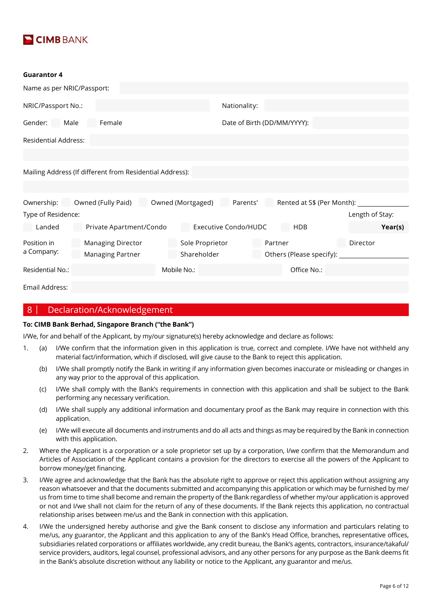

#### **Guarantor 4**

| Name as per NRIC/Passport:                               |                                       |                   |                             |         |                            |                 |         |
|----------------------------------------------------------|---------------------------------------|-------------------|-----------------------------|---------|----------------------------|-----------------|---------|
| NRIC/Passport No.:                                       |                                       |                   | Nationality:                |         |                            |                 |         |
| Gender:<br>Male                                          | Female<br>Date of Birth (DD/MM/YYYY): |                   |                             |         |                            |                 |         |
| <b>Residential Address:</b>                              |                                       |                   |                             |         |                            |                 |         |
|                                                          |                                       |                   |                             |         |                            |                 |         |
| Mailing Address (If different from Residential Address): |                                       |                   |                             |         |                            |                 |         |
|                                                          |                                       |                   |                             |         |                            |                 |         |
| Ownership:                                               | Owned (Fully Paid)                    | Owned (Mortgaged) | Parents'                    |         | Rented at S\$ (Per Month): |                 |         |
| Type of Residence:                                       |                                       |                   |                             |         |                            | Length of Stay: |         |
| Landed                                                   | Private Apartment/Condo               |                   | <b>Executive Condo/HUDC</b> |         | <b>HDB</b>                 |                 | Year(s) |
| Position in                                              | <b>Managing Director</b>              | Sole Proprietor   |                             | Partner |                            | Director        |         |
| a Company:                                               | Managing Partner                      | Shareholder       |                             |         | Others (Please specify):   |                 |         |
| Residential No.:                                         |                                       | Mobile No.:       |                             |         | Office No.:                |                 |         |
| Email Address:                                           |                                       |                   |                             |         |                            |                 |         |
|                                                          |                                       |                   |                             |         |                            |                 |         |

#### 8 | Declaration/Acknowledgement

#### **To: CIMB Bank Berhad, Singapore Branch ("the Bank")**

I/We, for and behalf of the Applicant, by my/our signature(s) hereby acknowledge and declare as follows:

- 1. (a) I/We confirm that the information given in this application is true, correct and complete. I/We have not withheld any material fact/information, which if disclosed, will give cause to the Bank to reject this application.
	- (b) I/We shall promptly notify the Bank in writing if any information given becomes inaccurate or misleading or changes in any way prior to the approval of this application.
	- (c) I/We shall comply with the Bank's requirements in connection with this application and shall be subject to the Bank performing any necessary verification.
	- (d) I/We shall supply any additional information and documentary proof as the Bank may require in connection with this application.
	- (e) I/We will execute all documents and instruments and do all acts and things as may be required by the Bank in connection with this application.
- 2. Where the Applicant is a corporation or a sole proprietor set up by a corporation, I/we confirm that the Memorandum and Articles of Association of the Applicant contains a provision for the directors to exercise all the powers of the Applicant to borrow money/get financing.
- 3. I/We agree and acknowledge that the Bank has the absolute right to approve or reject this application without assigning any reason whatsoever and that the documents submitted and accompanying this application or which may be furnished by me/ us from time to time shall become and remain the property of the Bank regardless of whether my/our application is approved or not and I/we shall not claim for the return of any of these documents. If the Bank rejects this application, no contractual relationship arises between me/us and the Bank in connection with this application.
- 4. I/We the undersigned hereby authorise and give the Bank consent to disclose any information and particulars relating to me/us, any guarantor, the Applicant and this application to any of the Bank's Head Office, branches, representative offices, subsidiaries related corporations or affiliates worldwide, any credit bureau, the Bank's agents, contractors, insurance/takaful/ service providers, auditors, legal counsel, professional advisors, and any other persons for any purpose as the Bank deems fit in the Bank's absolute discretion without any liability or notice to the Applicant, any guarantor and me/us.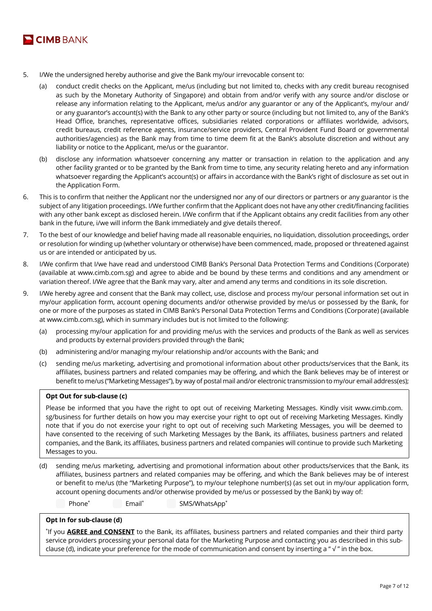

- 5. I/We the undersigned hereby authorise and give the Bank my/our irrevocable consent to:
	- (a) conduct credit checks on the Applicant, me/us (including but not limited to, checks with any credit bureau recognised as such by the Monetary Authority of Singapore) and obtain from and/or verify with any source and/or disclose or release any information relating to the Applicant, me/us and/or any guarantor or any of the Applicant's, my/our and/ or any guarantor's account(s) with the Bank to any other party or source (including but not limited to, any of the Bank's Head Office, branches, representative offices, subsidiaries related corporations or affiliates worldwide, advisors, credit bureaus, credit reference agents, insurance/service providers, Central Provident Fund Board or governmental authorities/agencies) as the Bank may from time to time deem fit at the Bank's absolute discretion and without any liability or notice to the Applicant, me/us or the guarantor.
	- (b) disclose any information whatsoever concerning any matter or transaction in relation to the application and any other facility granted or to be granted by the Bank from time to time, any security relating hereto and any information whatsoever regarding the Applicant's account(s) or affairs in accordance with the Bank's right of disclosure as set out in the Application Form.
- 6. This is to confirm that neither the Applicant nor the undersigned nor any of our directors or partners or any guarantor is the subject of any litigation proceedings. I/We further confirm that the Applicant does not have any other credit/financing facilities with any other bank except as disclosed herein. I/We confirm that if the Applicant obtains any credit facilities from any other bank in the future, i/we will inform the Bank immediately and give details thereof.
- 7. To the best of our knowledge and belief having made all reasonable enquiries, no liquidation, dissolution proceedings, order or resolution for winding up (whether voluntary or otherwise) have been commenced, made, proposed or threatened against us or are intended or anticipated by us.
- 8. I/We confirm that I/we have read and understood CIMB Bank's Personal Data Protection Terms and Conditions (Corporate) (available at www.cimb.com.sg) and agree to abide and be bound by these terms and conditions and any amendment or variation thereof. I/We agree that the Bank may vary, alter and amend any terms and conditions in its sole discretion.
- 9. I/We hereby agree and consent that the Bank may collect, use, disclose and process my/our personal information set out in my/our application form, account opening documents and/or otherwise provided by me/us or possessed by the Bank, for one or more of the purposes as stated in CIMB Bank's Personal Data Protection Terms and Conditions (Corporate) (available at www.cimb.com.sg), which in summary includes but is not limited to the following:
	- (a) processing my/our application for and providing me/us with the services and products of the Bank as well as services and products by external providers provided through the Bank;
	- (b) administering and/or managing my/our relationship and/or accounts with the Bank; and
	- (c) sending me/us marketing, advertising and promotional information about other products/services that the Bank, its affiliates, business partners and related companies may be offering, and which the Bank believes may be of interest or benefit to me/us ("Marketing Messages"), by way of postal mail and/or electronic transmission to my/our email address(es);

#### **Opt Out for sub-clause (c)**

Please be informed that you have the right to opt out of receiving Marketing Messages. Kindly visit www.cimb.com. sg/business for further details on how you may exercise your right to opt out of receiving Marketing Messages. Kindly note that if you do not exercise your right to opt out of receiving such Marketing Messages, you will be deemed to have consented to the receiving of such Marketing Messages by the Bank, its affiliates, business partners and related companies, and the Bank, its affiliates, business partners and related companies will continue to provide such Marketing Messages to you.

(d) sending me/us marketing, advertising and promotional information about other products/services that the Bank, its affiliates, business partners and related companies may be offering, and which the Bank believes may be of interest or benefit to me/us (the "Marketing Purpose"), to my/our telephone number(s) (as set out in my/our application form, account opening documents and/or otherwise provided by me/us or possessed by the Bank) by way of:

 Phone\* Email\* SMS/WhatsApp\*

#### **Opt In for sub-clause (d)**

\* If you **AGREE and CONSENT** to the Bank, its affiliates, business partners and related companies and their third party service providers processing your personal data for the Marketing Purpose and contacting you as described in this subclause (d), indicate your preference for the mode of communication and consent by inserting a " $\sqrt{ }$  " in the box.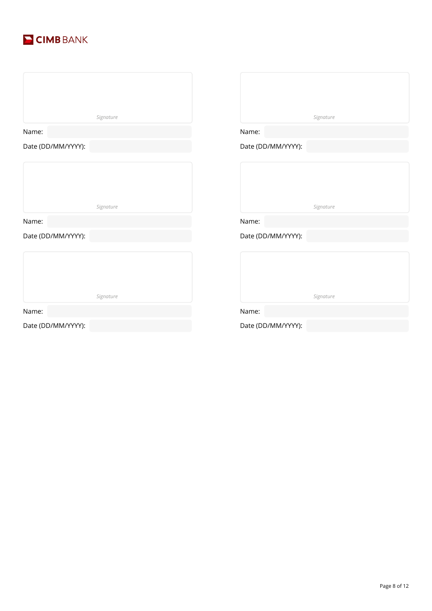

|                    | Signature |                    | Signature |
|--------------------|-----------|--------------------|-----------|
| Name:              |           | Name:              |           |
| Date (DD/MM/YYYY): |           | Date (DD/MM/YYYY): |           |
|                    |           |                    |           |
|                    | Signature |                    | Signature |
| Name:              |           | Name:              |           |
| Date (DD/MM/YYYY): |           | Date (DD/MM/YYYY): |           |
|                    |           |                    |           |
|                    | Signature |                    | Signature |
| Name:              |           | Name:              |           |
|                    |           |                    |           |
| Date (DD/MM/YYYY): |           | Date (DD/MM/YYYY): |           |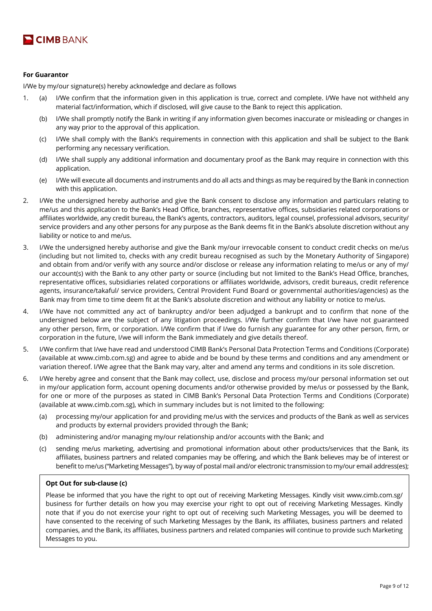

#### **For Guarantor**

I/We by my/our signature(s) hereby acknowledge and declare as follows

- 1. (a) I/We confirm that the information given in this application is true, correct and complete. I/We have not withheld any material fact/information, which if disclosed, will give cause to the Bank to reject this application.
	- (b) I/We shall promptly notify the Bank in writing if any information given becomes inaccurate or misleading or changes in any way prior to the approval of this application.
	- (c) I/We shall comply with the Bank's requirements in connection with this application and shall be subject to the Bank performing any necessary verification.
	- (d) I/We shall supply any additional information and documentary proof as the Bank may require in connection with this application.
	- (e) I/We will execute all documents and instruments and do all acts and things as may be required by the Bank in connection with this application.
- 2. I/We the undersigned hereby authorise and give the Bank consent to disclose any information and particulars relating to me/us and this application to the Bank's Head Office, branches, representative offices, subsidiaries related corporations or affiliates worldwide, any credit bureau, the Bank's agents, contractors, auditors, legal counsel, professional advisors, security/ service providers and any other persons for any purpose as the Bank deems fit in the Bank's absolute discretion without any liability or notice to and me/us.
- 3. I/We the undersigned hereby authorise and give the Bank my/our irrevocable consent to conduct credit checks on me/us (including but not limited to, checks with any credit bureau recognised as such by the Monetary Authority of Singapore) and obtain from and/or verify with any source and/or disclose or release any information relating to me/us or any of my/ our account(s) with the Bank to any other party or source (including but not limited to the Bank's Head Office, branches, representative offices, subsidiaries related corporations or affiliates worldwide, advisors, credit bureaus, credit reference agents, insurance/takaful/ service providers, Central Provident Fund Board or governmental authorities/agencies) as the Bank may from time to time deem fit at the Bank's absolute discretion and without any liability or notice to me/us.
- 4. I/We have not committed any act of bankruptcy and/or been adjudged a bankrupt and to confirm that none of the undersigned below are the subject of any litigation proceedings. I/We further confirm that I/we have not guaranteed any other person, firm, or corporation. I/We confirm that if I/we do furnish any guarantee for any other person, firm, or corporation in the future, I/we will inform the Bank immediately and give details thereof.
- 5. I/We confirm that I/we have read and understood CIMB Bank's Personal Data Protection Terms and Conditions (Corporate) (available at www.cimb.com.sg) and agree to abide and be bound by these terms and conditions and any amendment or variation thereof. I/We agree that the Bank may vary, alter and amend any terms and conditions in its sole discretion.
- 6. I/We hereby agree and consent that the Bank may collect, use, disclose and process my/our personal information set out in my/our application form, account opening documents and/or otherwise provided by me/us or possessed by the Bank, for one or more of the purposes as stated in CIMB Bank's Personal Data Protection Terms and Conditions (Corporate) (available at www.cimb.com.sg), which in summary includes but is not limited to the following:
	- (a) processing my/our application for and providing me/us with the services and products of the Bank as well as services and products by external providers provided through the Bank;
	- (b) administering and/or managing my/our relationship and/or accounts with the Bank; and
	- (c) sending me/us marketing, advertising and promotional information about other products/services that the Bank, its affiliates, business partners and related companies may be offering, and which the Bank believes may be of interest or benefit to me/us ("Marketing Messages"), by way of postal mail and/or electronic transmission to my/our email address(es);

#### **Opt Out for sub-clause (c)**

Please be informed that you have the right to opt out of receiving Marketing Messages. Kindly visit www.cimb.com.sg/ business for further details on how you may exercise your right to opt out of receiving Marketing Messages. Kindly note that if you do not exercise your right to opt out of receiving such Marketing Messages, you will be deemed to have consented to the receiving of such Marketing Messages by the Bank, its affiliates, business partners and related companies, and the Bank, its affiliates, business partners and related companies will continue to provide such Marketing Messages to you.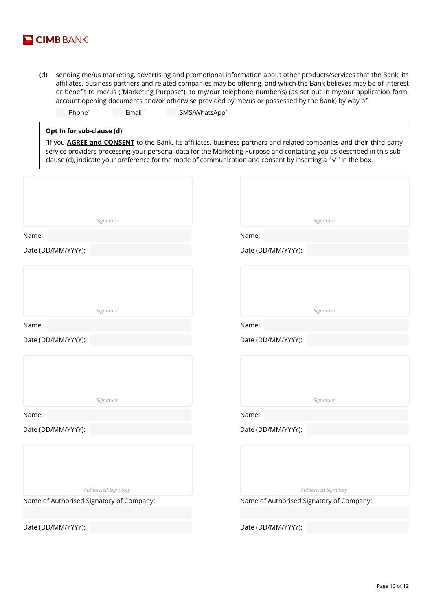

(d) sending me/us marketing, advertising and promotional information about other products/services that the Bank, its affiliates, business partners and related companies may be offering, and which the Bank believes may be of interest or benefit to me/us ("Marketing Purpose"), to my/our telephone number(s) (as set out in my/our application form, account opening documents and/or otherwise provided by me/us or possessed by the Bank) by way of:

| Email*<br>Phone <sup>*</sup> | SMS/WhatsApp <sup>*</sup> |
|------------------------------|---------------------------|
|------------------------------|---------------------------|

### **Opt In for sub-clause (d)**

\* If you **AGREE and CONSENT** to the Bank, its affiliates, business partners and related companies and their third party service providers processing your personal data for the Marketing Purpose and contacting you as described in this subclause (d), indicate your preference for the mode of communication and consent by inserting a " $\sqrt{ }$ " in the box.

| Signature                                | Signature                                |
|------------------------------------------|------------------------------------------|
| Name:                                    | Name:                                    |
| Date (DD/MM/YYYY):                       | Date (DD/MM/YYYY):                       |
| Signature                                | Signature                                |
| Name:                                    | Name:                                    |
| Date (DD/MM/YYYY):                       | Date (DD/MM/YYYY):                       |
| Signature                                | Signature                                |
| Name:                                    | Name:                                    |
| Date (DD/MM/YYYY):                       | Date (DD/MM/YYYY):                       |
| Authorised Signatory                     | Authorised Signatory                     |
| Name of Authorised Signatory of Company: | Name of Authorised Signatory of Company: |
| Date (DD/MM/YYYY):                       | Date (DD/MM/YYYY):                       |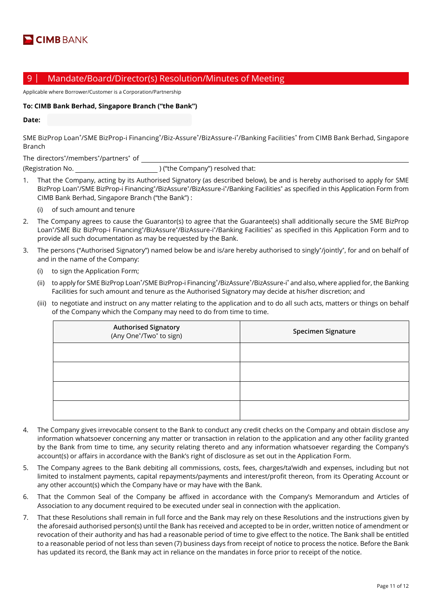### 9 | Mandate/Board/Director(s) Resolution/Minutes of Meeting

Applicable where Borrower/Customer is a Corporation/Partnership

#### **To: CIMB Bank Berhad, Singapore Branch ("the Bank")**

**Date:**

SME BizProp Loan\*/SME BizProp-i Financing\*/Biz-Assure\*/BizAssure-i\*/Banking Facilities\* from CIMB Bank Berhad, Singapore Branch

The directors\* /members\* /partners\* of (Registration No. 2008) ("the Company") resolved that:

- 1. That the Company, acting by its Authorised Signatory (as described below), be and is hereby authorised to apply for SME BizProp Loan\*/SME BizProp-i Financing\*/BizAssure\*/BizAssure-i\*/Banking Facilities\* as specified in this Application Form from CIMB Bank Berhad, Singapore Branch ("the Bank") :
	- (i) of such amount and tenure
- 2. The Company agrees to cause the Guarantor(s) to agree that the Guarantee(s) shall additionally secure the SME BizProp Loan\*/SME Biz BizProp-i Financing\*/BizAssure\*/BizAssure-i\*/Banking Facilities\* as specified in this Application Form and to provide all such documentation as may be requested by the Bank.
- 3. The persons ("Authorised Signatory") named below be and is/are hereby authorised to singly\* /jointly\* , for and on behalf of and in the name of the Company:
	- (i) to sign the Application Form;
	- (ii) to apply for SME BizProp Loan\*/SME BizProp-i Financing\*/BizAssure\*/BizAssure-i\* and also, where applied for, the Banking Facilities for such amount and tenure as the Authorised Signatory may decide at his/her discretion; and
	- (iii) to negotiate and instruct on any matter relating to the application and to do all such acts, matters or things on behalf of the Company which the Company may need to do from time to time.

| <b>Authorised Signatory</b><br>(Any One*/Two* to sign) | Specimen Signature |
|--------------------------------------------------------|--------------------|
|                                                        |                    |
|                                                        |                    |
|                                                        |                    |
|                                                        |                    |

- 4. The Company gives irrevocable consent to the Bank to conduct any credit checks on the Company and obtain disclose any information whatsoever concerning any matter or transaction in relation to the application and any other facility granted by the Bank from time to time, any security relating thereto and any information whatsoever regarding the Company's account(s) or affairs in accordance with the Bank's right of disclosure as set out in the Application Form.
- 5. The Company agrees to the Bank debiting all commissions, costs, fees, charges/ta'widh and expenses, including but not limited to instalment payments, capital repayments/payments and interest/profit thereon, from its Operating Account or any other account(s) which the Company have or may have with the Bank.
- 6. That the Common Seal of the Company be affixed in accordance with the Company's Memorandum and Articles of Association to any document required to be executed under seal in connection with the application.
- 7. That these Resolutions shall remain in full force and the Bank may rely on these Resolutions and the instructions given by the aforesaid authorised person(s) until the Bank has received and accepted to be in order, written notice of amendment or revocation of their authority and has had a reasonable period of time to give effect to the notice. The Bank shall be entitled to a reasonable period of not less than seven (7) business days from receipt of notice to process the notice. Before the Bank has updated its record, the Bank may act in reliance on the mandates in force prior to receipt of the notice.